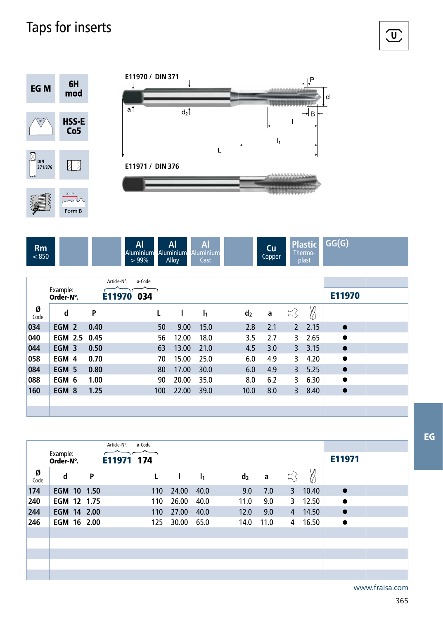## Taps for inserts



| Rm<br>850 |  |  | Al<br><b>Aluminium</b><br>$>99\%$ | Al<br>. .<br>Aluminium<br>Allov | Αl<br>. .<br>minium<br>Alu<br>Cast |  | -<br>Cu<br>-<br>Copper | <b>Plast</b><br><b>TIC</b><br>hermo-<br>plast | G(G)<br>٠<br>_ |
|-----------|--|--|-----------------------------------|---------------------------------|------------------------------------|--|------------------------|-----------------------------------------------|----------------|
|-----------|--|--|-----------------------------------|---------------------------------|------------------------------------|--|------------------------|-----------------------------------------------|----------------|

|           |                       |              | Article-N°. | ø-Code |     |       |                |                |     |              |      |           |  |
|-----------|-----------------------|--------------|-------------|--------|-----|-------|----------------|----------------|-----|--------------|------|-----------|--|
|           | Example:<br>Order-N°. |              | E11970      | 034    |     |       |                |                |     |              |      | E11970    |  |
| Ø<br>Code | d                     | P            |             |        |     |       | $\mathbf{I}_1$ | d <sub>2</sub> | a   | 5            | Ø    |           |  |
| 034       | EGM 2                 | 0.40         |             |        | 50  | 9.00  | 15.0           | 2.8            | 2.1 | $\mathbf{2}$ | 2.15 | $\bullet$ |  |
| 040       |                       | EGM 2.5 0.45 |             |        | 56  | 12.00 | 18.0           | 3.5            | 2.7 | 3            | 2.65 | $\bullet$ |  |
| 044       | EGM 3                 | 0.50         |             |        | 63  | 13.00 | 21.0           | 4.5            | 3.0 | 3            | 3.15 | $\bullet$ |  |
| 058       | EGM 4                 | 0.70         |             |        | 70  | 15.00 | 25.0           | 6.0            | 4.9 | 3            | 4.20 | $\bullet$ |  |
| 084       | EGM 5                 | 0.80         |             |        | 80  | 17.00 | 30.0           | 6.0            | 4.9 | 3            | 5.25 | $\bullet$ |  |
| 088       | EGM 6                 | 1.00         |             |        | 90  | 20.00 | 35.0           | 8.0            | 6.2 | 3            | 6.30 | $\bullet$ |  |
| 160       | EGM 8                 | 1.25         |             |        | 100 | 22.00 | 39.0           | 10.0           | 8.0 | 3            | 8.40 | $\bullet$ |  |
|           |                       |              |             |        |     |       |                |                |     |              |      |           |  |
|           |                       |              |             |        |     |       |                |                |     |              |      |           |  |

|           |                       |   | Article-N°. | ø-Code |              |                |                |      |                |       |           |  |
|-----------|-----------------------|---|-------------|--------|--------------|----------------|----------------|------|----------------|-------|-----------|--|
|           | Example:<br>Order-N°. |   | E11971 174  |        |              |                |                |      |                |       | E11971    |  |
| Ø<br>Code | d                     | P |             | L      | $\mathbf{I}$ | I <sub>1</sub> | d <sub>2</sub> | a    | ☆              | Ø     |           |  |
| 174       | EGM 10 1.50           |   |             | 110    | 24.00        | 40.0           | 9.0            | 7.0  | 3              | 10.40 | $\bullet$ |  |
| 240       | EGM 12 1.75           |   |             | 110    | 26.00        | 40.0           | 11.0           | 9.0  | 3              | 12.50 | $\bullet$ |  |
| 244       | EGM 14 2.00           |   |             | 110    | 27.00        | 40.0           | 12.0           | 9.0  | $\overline{4}$ | 14.50 | $\bullet$ |  |
| 246       | EGM 16 2.00           |   |             | 125    | 30.00        | 65.0           | 14.0           | 11.0 | 4              | 16.50 | $\bullet$ |  |
|           |                       |   |             |        |              |                |                |      |                |       |           |  |
|           |                       |   |             |        |              |                |                |      |                |       |           |  |
|           |                       |   |             |        |              |                |                |      |                |       |           |  |
|           |                       |   |             |        |              |                |                |      |                |       |           |  |
|           |                       |   |             |        |              |                |                |      |                |       |           |  |

 $\overline{\mathbf{U}}$ 

www.fraisa.com